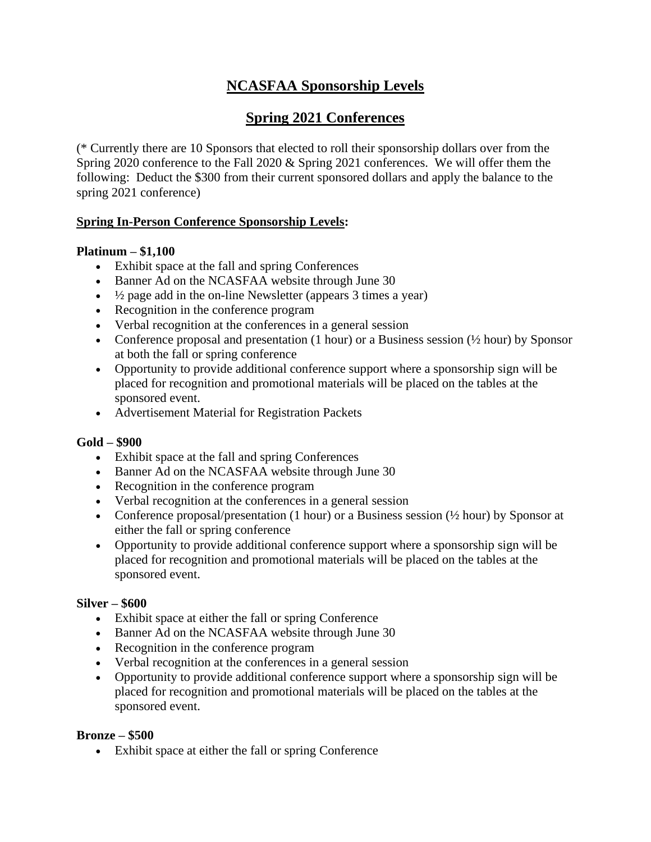# **NCASFAA Sponsorship Levels**

## **Spring 2021 Conferences**

(\* Currently there are 10 Sponsors that elected to roll their sponsorship dollars over from the Spring 2020 conference to the Fall 2020 & Spring 2021 conferences. We will offer them the following: Deduct the \$300 from their current sponsored dollars and apply the balance to the spring 2021 conference)

## **Spring In-Person Conference Sponsorship Levels:**

## **Platinum – \$1,100**

- Exhibit space at the fall and spring Conferences
- Banner Ad on the NCASFAA website through June 30
- $\bullet$   $\frac{1}{2}$  page add in the on-line Newsletter (appears 3 times a year)
- Recognition in the conference program
- Verbal recognition at the conferences in a general session
- Conference proposal and presentation (1 hour) or a Business session  $(\frac{1}{2}$  hour) by Sponsor at both the fall or spring conference
- Opportunity to provide additional conference support where a sponsorship sign will be placed for recognition and promotional materials will be placed on the tables at the sponsored event.
- Advertisement Material for Registration Packets

## **Gold – \$900**

- Exhibit space at the fall and spring Conferences
- Banner Ad on the NCASFAA website through June 30
- Recognition in the conference program
- Verbal recognition at the conferences in a general session
- Conference proposal/presentation (1 hour) or a Business session  $(\frac{1}{2}$  hour) by Sponsor at either the fall or spring conference
- Opportunity to provide additional conference support where a sponsorship sign will be placed for recognition and promotional materials will be placed on the tables at the sponsored event.

## **Silver – \$600**

- Exhibit space at either the fall or spring Conference
- Banner Ad on the NCASFAA website through June 30
- Recognition in the conference program
- Verbal recognition at the conferences in a general session
- Opportunity to provide additional conference support where a sponsorship sign will be placed for recognition and promotional materials will be placed on the tables at the sponsored event.

## **Bronze – \$500**

• Exhibit space at either the fall or spring Conference